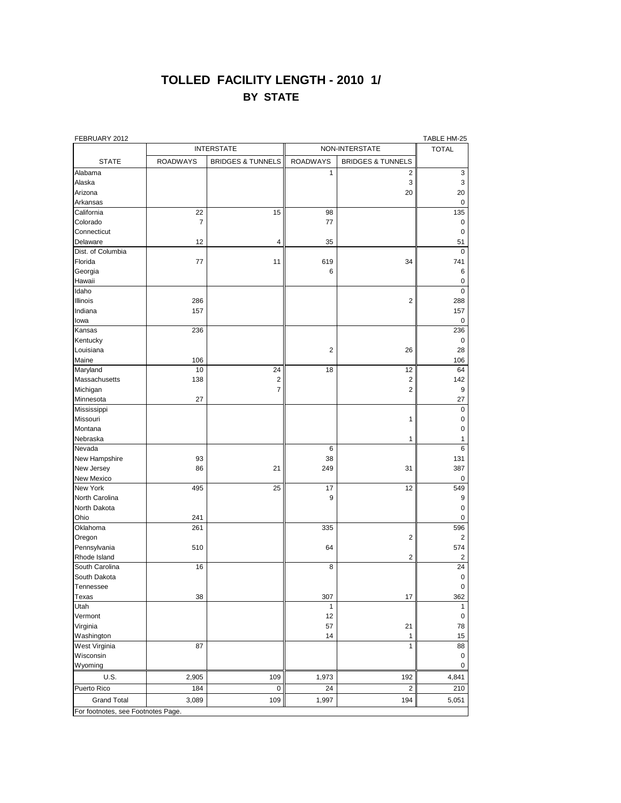## **TOLLED FACILITY LENGTH - 2010 1/ BY STATE**

| FEBRUARY 2012     |                   |                         |                 |                              | TABLE HM-25    |
|-------------------|-------------------|-------------------------|-----------------|------------------------------|----------------|
|                   | <b>INTERSTATE</b> |                         | NON-INTERSTATE  |                              | <b>TOTAL</b>   |
| <b>STATE</b>      | <b>ROADWAYS</b>   | BRIDGES & TUNNELS       | <b>ROADWAYS</b> | <b>BRIDGES &amp; TUNNELS</b> |                |
| Alabama           |                   |                         | 1               | $\overline{2}$               | $\mathbf{3}$   |
| Alaska            |                   |                         |                 | 3                            | 3              |
| Arizona           |                   |                         |                 | 20                           | 20             |
| Arkansas          |                   |                         |                 |                              | 0              |
| California        | 22                | 15                      | 98              |                              | 135            |
| Colorado          | $\overline{7}$    |                         | 77              |                              | 0              |
| Connecticut       |                   |                         |                 |                              | 0              |
| Delaware          | 12                | 4                       | 35              |                              | 51             |
| Dist. of Columbia |                   |                         |                 |                              | 0              |
| Florida           | 77                | 11                      | 619             | 34                           | 741            |
| Georgia           |                   |                         | 6               |                              | 6              |
| Hawaii            |                   |                         |                 |                              | 0              |
| Idaho             |                   |                         |                 |                              | $\mathbf 0$    |
| Illinois          | 286               |                         |                 | $\mathbf 2$                  | 288            |
| Indiana           | 157               |                         |                 |                              | 157            |
| lowa              |                   |                         |                 |                              | 0              |
| Kansas            | 236               |                         |                 |                              | 236            |
| Kentucky          |                   |                         |                 |                              | 0              |
| Louisiana         |                   |                         | $\overline{c}$  | 26                           | 28             |
| Maine             | 106               |                         |                 |                              | 106            |
|                   | 10                | 24                      | 18              | 12                           | 64             |
| Maryland          |                   |                         |                 |                              |                |
| Massachusetts     | 138               | $\overline{\mathbf{c}}$ |                 | $\mathbf 2$                  | 142            |
| Michigan          |                   | $\overline{7}$          |                 | $\overline{c}$               | 9              |
| Minnesota         | 27                |                         |                 |                              | 27             |
| Mississippi       |                   |                         |                 |                              | $\mathbf 0$    |
| Missouri          |                   |                         |                 | 1                            | 0              |
| Montana           |                   |                         |                 |                              | 0              |
| Nebraska          |                   |                         |                 | 1                            |                |
| Nevada            |                   |                         | 6               |                              | 6              |
| New Hampshire     | 93                |                         | 38              |                              | 131            |
| New Jersey        | 86                | 21                      | 249             | 31                           | 387            |
| <b>New Mexico</b> |                   |                         |                 |                              | 0              |
| New York          | 495               | 25                      | 17              | 12                           | 549            |
| North Carolina    |                   |                         | 9               |                              | 9              |
| North Dakota      |                   |                         |                 |                              | 0              |
| Ohio              | 241               |                         |                 |                              | 0              |
| Oklahoma          | 261               |                         | 335             |                              | 596            |
| Oregon            |                   |                         |                 | $\mathbf 2$                  | $\overline{2}$ |
| Pennsylvania      | 510               |                         | 64              |                              | 574            |
| Rhode Island      |                   |                         |                 | 2                            | $\overline{2}$ |
| South Carolina    | 16                |                         | $\,8\,$         |                              | 24             |
| South Dakota      |                   |                         |                 |                              | 0              |
| Tennessee         |                   |                         |                 |                              | 0              |
| <b>Texas</b>      | 38                |                         | 307             | 17                           | 362            |
| Utah              |                   |                         | 1               |                              |                |

| Vermont                            |       |     | 12    |     |       |  |  |  |
|------------------------------------|-------|-----|-------|-----|-------|--|--|--|
| Virginia                           |       |     | 57    | 21  | 78    |  |  |  |
| Washington                         |       |     | 14    |     | 15    |  |  |  |
| West Virginia                      | 87    |     |       |     | 88    |  |  |  |
| Wisconsin                          |       |     |       |     |       |  |  |  |
| Wyoming                            |       |     |       |     |       |  |  |  |
| U.S.                               | 2,905 | 109 | 1,973 | 192 | 4,841 |  |  |  |
| Puerto Rico                        | 184   |     | 24    |     | 210   |  |  |  |
| <b>Grand Total</b>                 | 3,089 | 109 | 1,997 | 194 | 5,051 |  |  |  |
| For footnotes, see Footnotes Page. |       |     |       |     |       |  |  |  |